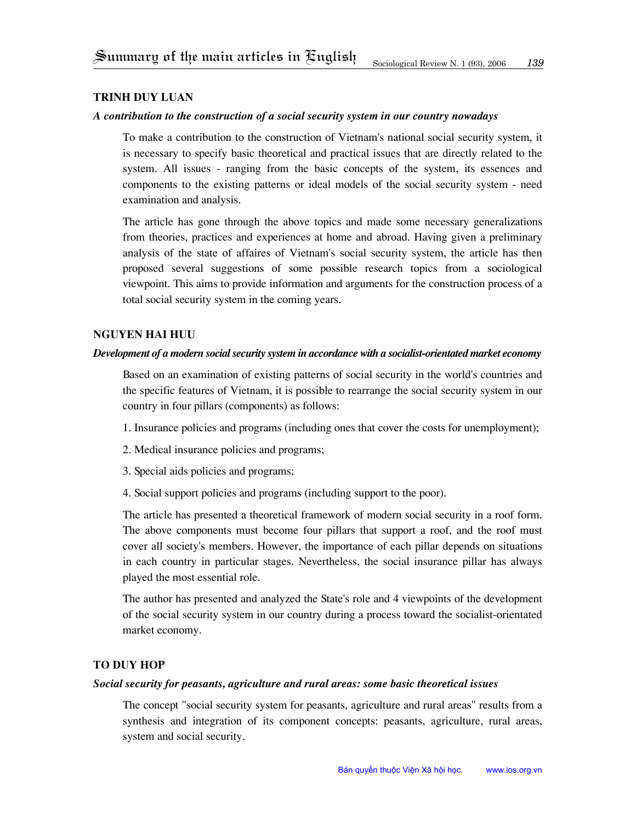# **Trinh duy luan**

## *A contribution to the construction of a social security system in our country nowadays*

To make a contribution to the construction of Vietnam's national social security system, it is necessary to specify basic theoretical and practical issues that are directly related to the system. All issues - ranging from the basic concepts of the system, its essences and components to the existing patterns or ideal models of the social security system - need examination and analysis.

The article has gone through the above topics and made some necessary generalizations from theories, practices and experiences at home and abroad. Having given a preliminary analysis of the state of affaires of Vietnam's social security system, the article has then proposed several suggestions of some possible research topics from a sociological viewpoint. This aims to provide information and arguments for the construction process of a total social security system in the coming years.

# **nguyen hai huu**

# *Development of a modern social security system in accordance with a socialist-orientated market economy*

Based on an examination of existing patterns of social security in the world's countries and the specific features of Vietnam, it is possible to rearrange the social security system in our country in four pillars (components) as follows:

- 1. Insurance policies and programs (including ones that cover the costs for unemployment);
- 2. Medical insurance policies and programs;
- 3. Special aids policies and programs;
- 4. Social support policies and programs (including support to the poor).

The article has presented a theoretical framework of modern social security in a roof form. The above components must become four pillars that support a roof, and the roof must cover all society's members. However, the importance of each pillar depends on situations in each country in particular stages. Nevertheless, the social insurance pillar has always played the most essential role.

The author has presented and analyzed the State's role and 4 viewpoints of the development of the social security system in our country during a process toward the socialist-orientated market economy.

#### **To Duy Hop**

#### *Social security for peasants, agriculture and rural areas: some basic theoretical issues*

The concept "social security system for peasants, agriculture and rural areas" results from a synthesis and integration of its component concepts: peasants, agriculture, rural areas, system and social security.